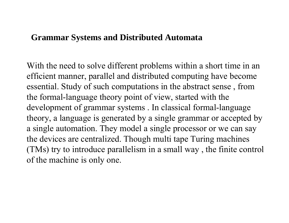### **Grammar Systems and Distributed Automata**

With the need to solve different problems within a short time in an efficient manner, parallel and distributed computing have become essential. Study of such computations in the abstract sense , from the formal-language theory point of view, started with the development of grammar systems . In classical formal-language theory, a language is generated by a single grammar or accepted by a single automation. They model a single processor or we can say the devices are centralized. Though multi tape Turing machines (TMs) try to introduce parallelism in a small way , the finite control of the machine is only one.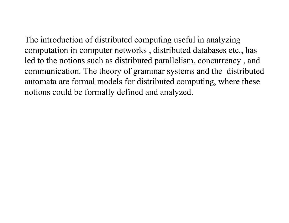The introduction of distributed computing useful in analyzing computation in computer networks , distributed databases etc., has led to the notions such as distributed parallelism, concurrency , and communication. The theory of grammar systems and the distributed automata are formal models for distributed computing, where these notions could be formally defined and analyzed.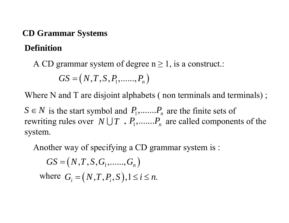### **CD Grammar Systems**

## **Definition**

A CD grammar system of degree  $n \ge 1$ , is a construct.:

$$
GS = (N, T, S, P_1, \dots, P_n)
$$

Where N and T are disjoint alphabets (non terminals and terminals);

 $S \in \mathbb{N}$  is the start symbol and  $P_1, \ldots, P_n$  are the finite sets of rewriting rules over  $N \cup T$  .  $P_1, \ldots, P_n$  are called components of the system.

Another way of specifying a CD grammar system is :

$$
GS = (N, T, S, G_1, \dots, G_n)
$$
  
where  $G_i = (N, T, P_i, S), 1 \le i \le n$ .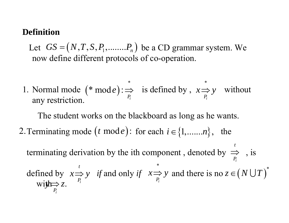### **Definition**

Let  $GS = (N, T, S, P_1, \ldots, P_n)$  be a CD grammar system. We now define different protocols of co-operation.

1. Normal mode  $(* \mod e) : \Rightarrow$  is defined by,  $x \Rightarrow y$  without any restriction. \*  $(* \text{ mod } e): \Rightarrow$  is defined by,  $x \Rightarrow y$ \* mode):= *Pie* ) : ⇒

The student works on the blackboard as long as he wants.

2. Terminating mode  $(t \mod e)$ : for each  $i \in \{1, \ldots, n\}$ , the

terminating derivation by the ith component, denoted by  $\Rightarrow$ , is defined by  $x \Rightarrow y$  *if* and only *if*  $x \Rightarrow y$  and there is no  $withE$ *i P t*  $\Rightarrow$ *i t P x* ⇒ *y* \* *Pi*  $x \Rightarrow y$  and there is no  $z \in (N \cup T)^{*}$  $\overrightarrow{P_i}$   $\sim$   $\cdot$ *y z*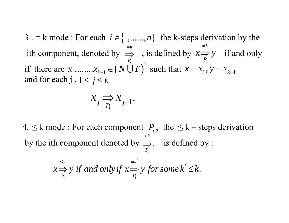3. = k mode : For each  $i \in \{1, \ldots, n\}$  the k-steps derivation by the ith component, denoted by  $\implies$ , is defined by  $x \Rightarrow y$  if and only if there are  $x_1, \ldots, x_{k+1} \in (N \cup T)$  such that and for each  $j$  ,  $1 \leq j \leq k$ *i k P*  $=$  $\Rightarrow$  , is defined by  $x = p_i$ *k P*  $x \Rightarrow y$  $=$  $\Rightarrow$  $\big(N\,\dot{\cup}\,T\big)^*$  $x_1, \ldots, x_{k+1} \in (N \cup T)$  such that  $x = x_i$ ,  $y = x_{k+1}$ 

$$
x_j \underset{P_i}{\Longrightarrow} x_{j+1}.
$$

4.  $\leq$  k mode : For each component  $P_i$ , the  $\leq$  k – steps derivation by the ith component denoted by  $\Rightarrow$ , is defined by : , *ik P*  $\leq$  $\Rightarrow$ 

'

$$
x \stackrel{\leq k}{\Longrightarrow} y \text{ if and only if } x \stackrel{\equiv k}{\Longrightarrow} y \text{ for some } k \leq k.
$$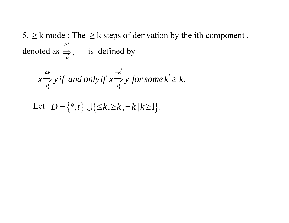5.  $\geq$  k mode : The  $\geq$  k steps of derivation by the ith component, denoted as  $\Rightarrow_{P_i}^{\geq k}$ , is defined by

$$
x \stackrel{\geq k}{\Longrightarrow} y \text{ if and only if } x \stackrel{\stackrel{\equiv k'}{\Longrightarrow}}{P_i} y \text{ for some } k' \geq k.
$$

Let 
$$
D = \{*,t\} \cup \{\leq k, \geq k, =k | k \geq 1\}.
$$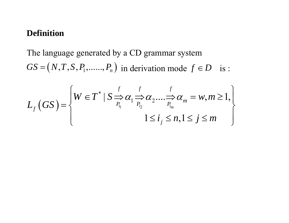### **Definition**

The language generated by a CD grammar system  $GS = (N, T, S, P_1, \ldots, P_n)$  in derivation mode  $f \in D$  is :

$$
L_f\left(GS\right) = \begin{cases} W \in T^* \mid S \xrightarrow{f} \alpha_1 \xrightarrow{f} \alpha_2 \dots \xrightarrow{f} \alpha_m = w, m \ge 1, \\ 0 \qquad \qquad \vdots \\ 0 \qquad \qquad 1 \le i_j \le n, 1 \le j \le m \end{cases}
$$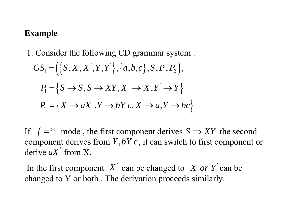### **Example**

1. Consider the following CD grammar system :  $GS_1 = (\{S, X, X', Y', Y')\}, \{a, b, c\}, S, P_1, P_2\},\$  $P_1 = \{ S \rightarrow S, S \rightarrow XY, X' \rightarrow X, Y' \rightarrow Y \}$  $P_2 = \{ X \rightarrow aX', Y \rightarrow bY'c, X \rightarrow a, Y \rightarrow bc \}$ 

If  $f =$   $*$  mode, the first component derives  $S \Rightarrow XY$  the second component derives from  $Y$ ,  $bYc$ , it can switch to first component or derive  $aX'$  from X.

In the first component  $X'$  can be changed to  $X$  *or*  $Y'$  can be changed to Y or both . The derivation proceeds similarly.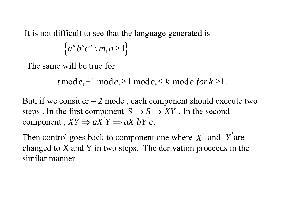It is not difficult to see that the language generated is

$$
\left\{a^mb^nc^n\setminus m,n\geq 1\right\}.
$$

The same will be true for

 $t \mod e, =1 \mod e, \geq 1 \mod e, \leq k \mod e \text{ for } k \geq 1.$ 

But, if we consider  $= 2$  mode, each component should execute two steps . In the first component  $S \Rightarrow S \Rightarrow XY$  . In the second component,  $XY \Rightarrow aX'Y \Rightarrow aX'bY'c$ .

Then control goes back to component one where  $X'$  and  $Y'$  are changed to X and Y in two steps. The derivation proceeds in the similar manner.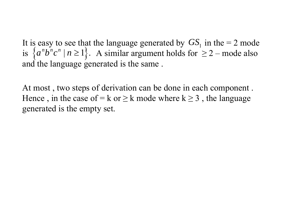It is easy to see that the language generated by  $GS<sub>1</sub>$  in the  $= 2$  mode is  $\{a^n b^n c^n \mid n \ge 1\}$ . A similar argument holds for  $\ge 2$  – mode also and the language generated is the same .  $\geq$ 

At most , two steps of derivation can be done in each component . Hence, in the case of  $=k$  or  $\geq k$  mode where  $k \geq 3$ , the language generated is the empty set.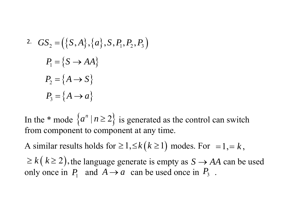2. 
$$
GS_2 = (\{S, A\}, \{a\}, S, P_1, P_2, P_3)
$$
  
\n $P_1 = \{S \rightarrow AA\}$   
\n $P_2 = \{A \rightarrow S\}$   
\n $P_3 = \{A \rightarrow a\}$ 

In the \* mode  $\{a^n \mid n \ge 2\}$  is generated as the control can switch from component to component at any time.

A similar results holds for  $\geq 1, \leq k(k \geq 1)$  modes. For  $= 1, = k$ ,  $\geq k(k \geq 2)$ , the language generate is empty as  $S \rightarrow AA$  can be used only once in  $P_1$  and  $A \rightarrow a$  can be used once in  $P_3$ .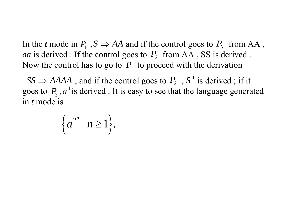In the *t* mode in  $P_1$ ,  $S \Rightarrow AA$  and if the control goes to  $P_3$  from AA, *aa* is derived . If the control goes to  $P_2$  from AA, SS is derived. Now the control has to go to  $P_1$  to proceed with the derivation

 $SS \Rightarrow AAAA$ , and if the control goes to  $P_2$ ,  $S^4$  is derived; if it goes to  $P_3$ ,  $a^4$  is derived. It is easy to see that the language generated in *t* mode is

$$
\left\{a^{2^n} \mid n \geq 1\right\}.
$$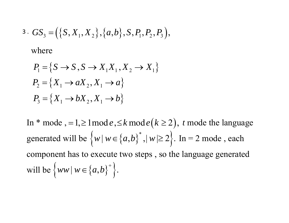$$
3. GS_3 = (\{S, X_1, X_2\}, \{a, b\}, S, P_1, P_2, P_3),
$$

where

$$
P_1 = \{ S \to S, S \to X_1 X_1, X_2 \to X_1
$$
  
\n
$$
P_2 = \{ X_1 \to aX_2, X_1 \to a \}
$$
  
\n
$$
P_3 = \{ X_1 \to bX_2, X_1 \to b \}
$$

In \* mode, = 1,  $\geq$  1 mode,  $\leq$  k mode ( $k \geq 2$ ), t mode the language generated will be  $\{w \mid w \in \{a,b\}^*, |w| \ge 2\}$ . In = 2 mode, each component has to execute two steps, so the language generated will be  $\{ww | w \in \{a,b\}^+\}.$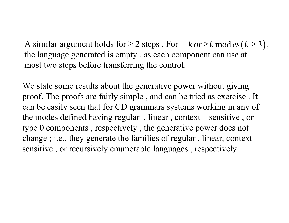A similar argument holds for  $\geq 2$  steps . For  $=$ the language generated is empty , as each component can use at most two steps before transferring the control.  $k$  *or*  $\geq$   $k$  mod  $es$   $(k \geq 3)$  ,

We state some results about the generative power without giving proof. The proofs are fairly simple , and can be tried as exercise . It can be easily seen that for CD grammars systems working in any of the modes defined having regular , linear , context – sensitive , or type 0 components , respectively , the generative power does not change ; i.e., they generate the families of regular , linear, context – sensitive , or recursively enumerable languages , respectively .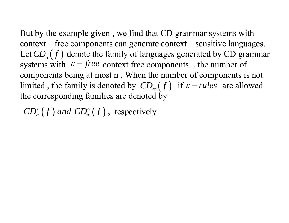But by the example given , we find that CD grammar systems with context – free components can generate context – sensitive languages. Let  $\mathcal{CD}_n(f)$  denote the family of languages generated by CD grammar systems with  $\varepsilon$  – *free* context free components, the number of components being at most n . When the number of components is not limited, the family is denoted by  $CD_{\infty}(f)$  if  $\varepsilon$  - *rules* are allowed the corresponding families are denoted by  $\varepsilon$  – *rules* 

 $\mathsf{CD}_n^\varepsilon(f)$  and  $\mathsf{CD}_\infty^\varepsilon(f)$  , respectively . ∞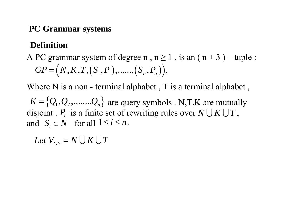### **PC Grammar systems**

## **Definition**

# A PC grammar system of degree n,  $n \ge 1$ , is an  $(n + 3)$  – tuple :  $GP = (N, K, T, (S_1, P_1), \dots, (S_n, P_n)),$

Where N is a non - terminal alphabet, T is a terminal alphabet,

 $K = \{Q_1, Q_2, \ldots, Q_n\}$  are query symbols . N,T,K are mutually disjoint .  $P_i$  is a finite set of rewriting rules over  $N \cup K \cup T$ , and  $S_i \in N$  for all  $1 \le i \le n$ .

 $Let \ V_{GP} = N \bigcup K \bigcup T$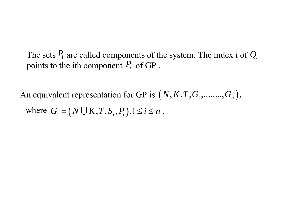The sets  $P_i$  are called components of the system. The index i of  $Q_i$ points to the ith component  $P_i$  of GP.

An equivalent representation for GP is  $(N, K, T, G_1, \ldots, G_n)$ , where  $G_i = (N \cup K, T, S_i, P_i), 1 \le i \le n$ .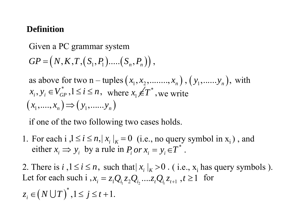### **Definition**

Given a PC grammar system  $GP = (N, K, T, (S_1, P_1).....(S_n, P_n))$ , as above for two n – tuples  $(x_1, x_2, \ldots, x_n)$ ,  $(y_1, \ldots, y_n)$ , with  $x_i, y_i \in V_{GP}^*$ ,  $1 \le i \le n$ , where  $x_i \notin T^*$ , we write  $(x_1, \ldots, x_n) \Rightarrow (y_1, \ldots, y_n)$ 

if one of the two following two cases holds.

1. For each  $i, 1 \le i \le n, |x_i|_K = 0$  (i.e., no query symbol in  $x_i$ ), and either  $x_i \Rightarrow y_i$  by a rule in  $P_i$  or  $x_i = y_i \in T^*$ .

2. There is  $i, 1 \le i \le n$ , such that  $|x_i|_K > 0$ . (i.e.,  $x_i$  has query symbols ). Let for each such i  $x_i = z_1 Q_{i_1} z_2 Q_{i_2} ... z_t Q_{i_t} z_{t+1}$ ,  $t \ge 1$  for  $z_i \in (N \cup T)^*$ ,  $1 \le j \le t+1$ .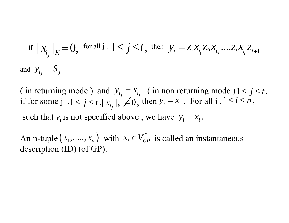$$
\text{If } \left| \mathcal{X}_{i_j} \right|_K = 0, \text{ for all } j, 1 \le j \le t, \text{ then } \mathcal{Y}_i = z_i x_{i_1} z_2 x_{i_2} \dots z_t x_{i_t} z_{t+1}
$$
\n
$$
\text{and } \mathcal{Y}_{i_j} = S_j
$$

( in returning mode ) and  $y_{i_j} = x_{i_j}$  ( in non returning mode )  $1 \le j \le t$ . if for some  $j$ ,  $1 \le j \le t$ ,  $|x_{i_j}|_k \ne 0$ , then  $y_i = x_i$ . For all  $i, 1 \le i \le n$ , such that  $y_i$  is not specified above, we have  $y_i = x_i$ .

An n-tuple  $(x_1, \ldots, x_n)$  with  $x_i \in V_{GP}^*$  is called an instantaneous description (ID) (of GP).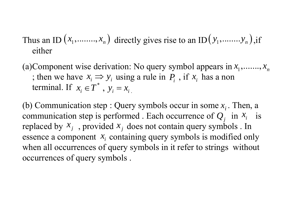# Thus an ID  $(x_1, \ldots, x_n)$  directly gives rise to an ID  $(y_1, \ldots, y_n)$ , if either

(a)Component wise derivation: No query symbol appears in  $x_1, \ldots, x_n$ ; then we have  $x_i \Rightarrow y_i$  using a rule in  $P_i$ , if  $x_i$  has a non terminal. If  $x_i \in T^*$ ,  $y_i = x_i$ terminal. If  $x_i \in T^*$ ,  $y_i = x_i$ 

communication step is performed . Each occurrence of  $Q_j$  in  $X_i$  is (b) Communication step : Query symbols occur in some  $x_i$ . Then, a replaced by  $x_j$ , provided  $x_j$  does not contain query symbols. In essence a component  $x_i$  containing query symbols is modified only when all occurrences of query symbols in it refer to strings without occurrences of query symbols .  $x_j$ , provided x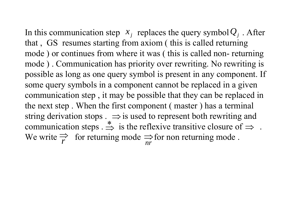In this communication step  $x_j$  replaces the query symbol  $Q_j$ . After that , GS resumes starting from axiom ( this is called returning mode ) or continues from where it was ( this is called non- returning mode ) . Communication has priority over rewriting. No rewriting is possible as long as one query symbol is present in any component. If some query symbols in a component cannot be replaced in a given communication step , it may be possible that they can be replaced in the next step . When the first component ( master ) has a terminal string derivation stops  $\Rightarrow$  is used to represent both rewriting and communication steps  $\Rightarrow$  is the reflexive transitive closure of  $\Rightarrow$ . We write  $\Rightarrow$  for returning mode  $\Rightarrow$  for non returning mode. *r* $\implies$ *nr*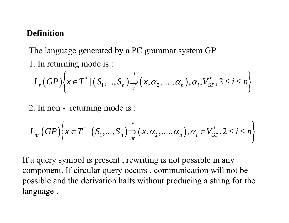### **Definition**

The language generated by a PC grammar system GP 1. In returning mode is :

$$
L_r(GP)\bigg\{x \in T^* \mid (S_1, ..., S_n) \xrightarrow{*} (x, \alpha_2, ..., \alpha_n), \alpha_i, V_{GP}^*, 2 \le i \le n \bigg\}
$$

2. In non - returning mode is :

$$
L_{nr}(GP)\left\{x \in T^* \mid (S_1, ..., S_n) \underset{nr}{\Rightarrow}(x, \alpha_2, ..., \alpha_n), \alpha_i \in V_{GP}^*, 2 \le i \le n \right\}
$$

If a query symbol is present , rewriting is not possible in any component. If circular query occurs , communication will not be possible and the derivation halts without producing a string for the language .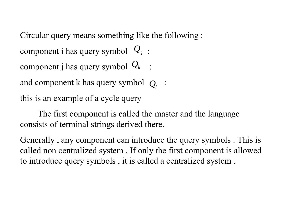Circular query means something like the following :

component i has query symbol  $\mathcal{Q}_j$ :

component j has query symbol  $\mathcal{Q}_k$  :

and component k has query symbol  $|Q_i|$  :

this is an example of a cycle query

The first component is called the master and the language consists of terminal strings derived there.

Generally , any component can introduce the query symbols . This is called non centralized system . If only the first component is allowed to introduce query symbols , it is called a centralized system .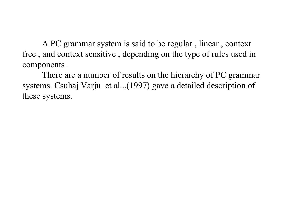A PC grammar system is said to be regular , linear , context free , and context sensitive , depending on the type of rules used in components .

There are a number of results on the hierarchy of PC grammar systems. Csuhaj Varju et al..,(1997) gave a detailed description of these systems.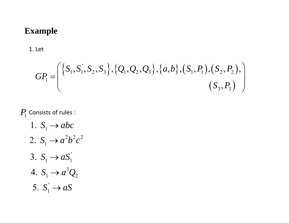#### **Example**

#### 1. Let

$$
GP_1 = \left( \{ S_1, S_1, S_2, S_3 \}, \{ Q_1, Q_2, Q_3 \}, \{ a, b \}, (S_1, P_1), (S_2, P_2), \right)
$$

$$
(S_3, P_3)
$$

### $P_{\rm l}$  Consists of rules :

1.  $S_1 \rightarrow abc$ 2.  $S_1 \to a^2 b^2 c^2$ 3.  $S_1 \to aS_1$ 4.  $S_1 \to a^3 Q_2$ 5.  $S_1 \rightarrow aS$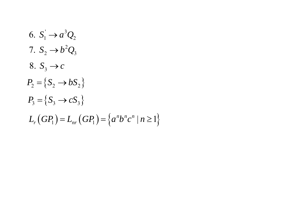6.  $S_1' \to a^3 Q_2$ 7.  $S_2 \rightarrow b^2 Q_3$ 8.  $S_3 \rightarrow c$  $P_2 = \{S_2 \rightarrow bS_2\}$  $P_3 = \{S_3 \rightarrow cS_3\}$  $L_r(GP_1) = L_{nr}(GP_1) = \{a^n b^n c^n \mid n \ge 1\}$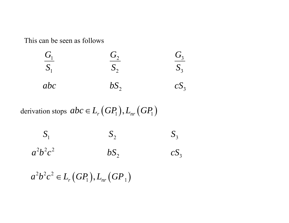This can be seen as follows



derivation stops 
$$
abc \in L_r(GP_1), L_{nr}(GP_1)
$$

| $S_1$       | $S_{\gamma}$ | $S_3$  |
|-------------|--------------|--------|
| $a^2b^2c^2$ | $bS_2$       | $cS_3$ |

 $a^2b^2c^2 \in L_r(GP_1), L_{nr}(GP_1)$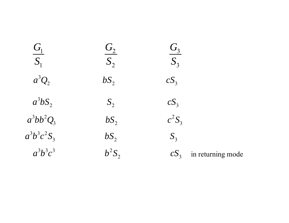| $\frac{G_1}{\sqrt{2}}$<br>S <sub>1</sub> | $G_{2}$<br>$S_2$ | G <sub>3</sub><br>S <sub>3</sub>     |  |
|------------------------------------------|------------------|--------------------------------------|--|
| $a^3Q_2$                                 | $bS_2$           | $cS_3$                               |  |
| $a^3bS_2$                                | $S_2$            | $cS_3$                               |  |
| $a^3bb^2Q_3$                             | bS <sub>2</sub>  | $c^2S_3$                             |  |
| $a^3b^3c^2S_3$                           | bS <sub>2</sub>  | $S_3$                                |  |
| $a^3b^3c^3$                              | $b^2S_2$         | cS <sub>3</sub><br>in returning mode |  |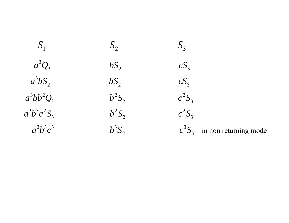$a^3Q_2$  *bS*<sub>2</sub> *cS* 3 *<sup>a</sup> bS bS cS* 3 2 *<sup>a</sup> bb Q b S <sup>c</sup> S* 332 *abcS b S <sup>c</sup> S*  $3\overline{)}3\overline{)}3$ 

1  $\omega_2$   $\omega_3$  $S_1$   $S_2$   $S_3$ 2  $\omega_2$   $\omega_3$ 2  $\omega_2$   $\omega_3$  $b^2S_2$   $c^2S_3$ 2 3  $b^2S_2$   $c^2S_3$ 3

2

3 2 3 *abc b S <sup>c</sup> S* in non returning mode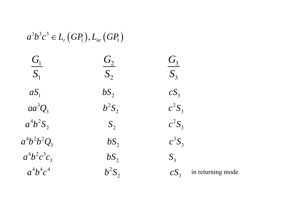# $a^3b^3c^3 \in L_r(GP_1), L_{nr}(GP_1)$

| $\frac{G_1}{\sqrt{2}}$ | $\mathit{G}_2$  | G <sub>3</sub>                       |  |
|------------------------|-----------------|--------------------------------------|--|
| $S_1$                  | $S_2$           | S <sub>3</sub>                       |  |
| $aS_1$                 | bS <sub>2</sub> | cS <sub>3</sub>                      |  |
| $aa^3Q_3$              | $b^2S_2$        | $c^2S_3$                             |  |
| $a^4b^2S_2$            | $S_{2}$         | $c^2S_3$                             |  |
| $a^4b^2b^2Q_3$         | $bS_2$          | $c^3S_3$                             |  |
| $a^4b^2c^3c_3$         | $bS_2$          | $S_{3}$                              |  |
| $a^4b^4c^4$            | $b^2S_2$        | in returning mode<br>cS <sub>3</sub> |  |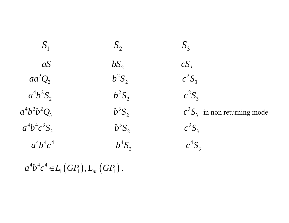| $S_{1}$        | $S_{2}$         | S <sub>3</sub>                 |
|----------------|-----------------|--------------------------------|
| $aS_1$         | bS <sub>2</sub> | cS <sub>3</sub>                |
| $aa^3Q_2$      | $b^2S_2$        | $c^2S_3$                       |
| $a^4b^2S_2$    | $b^2S_2$        | $c^2S_3$                       |
| $a^4b^2b^2Q_3$ | $b^3S_2$        | $c^3S_3$ in non returning mode |
| $a^4b^4c^3S_3$ | $b^3S_2$        | $c^3S_3$                       |
| $a^4b^4c^4$    | $b^4S_2$        | $c^4S_3$                       |

 $a^4b^4c^4 \in L_1(GP_1), L_{nr}(GP_1)$ .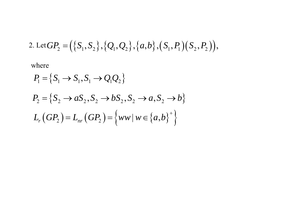2. Let 
$$
GP_2 = (\{S_1, S_2\}, \{Q_1, Q_2\}, \{a, b\}, (S_1, P_1)(S_2, P_2)),
$$

where

$$
P_1 = \{S_1 \to S_1, S_1 \to Q_1 Q_2\}
$$
  
\n
$$
P_2 = \{S_2 \to aS_2, S_2 \to bS_2, S_2 \to a, S_2 \to b\}
$$
  
\n
$$
L_r(GP_2) = L_{nr}(GP_2) = \{ww | w \in \{a, b\}^+\}
$$